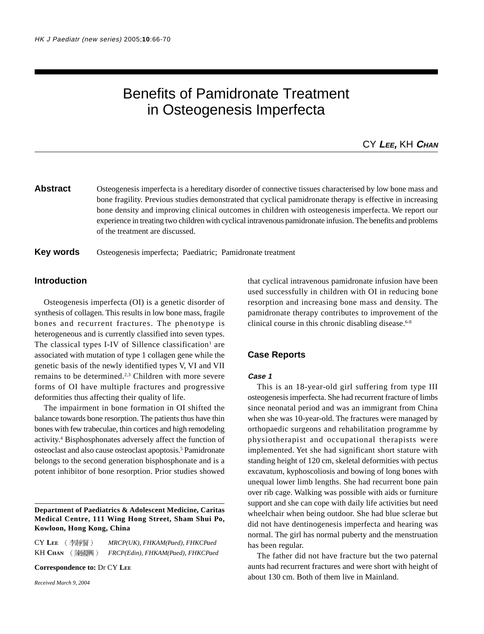# Benefits of Pamidronate Treatment in Osteogenesis Imperfecta

CY **LEE,** KH **CHAN**

## Abstract Osteogenesis imperfecta is a hereditary disorder of connective tissues characterised by low bone mass and bone fragility. Previous studies demonstrated that cyclical pamidronate therapy is effective in increasing bone density and improving clinical outcomes in children with osteogenesis imperfecta. We report our experience in treating two children with cyclical intravenous pamidronate infusion. The benefits and problems of the treatment are discussed.

## **Key words** Osteogenesis imperfecta; Paediatric; Pamidronate treatment

## **Introduction**

Osteogenesis imperfecta (OI) is a genetic disorder of synthesis of collagen. This results in low bone mass, fragile bones and recurrent fractures. The phenotype is heterogeneous and is currently classified into seven types. The classical types I-IV of Sillence classification<sup>1</sup> are associated with mutation of type 1 collagen gene while the genetic basis of the newly identified types V, VI and VII remains to be determined.<sup>2,3</sup> Children with more severe forms of OI have multiple fractures and progressive deformities thus affecting their quality of life.

The impairment in bone formation in OI shifted the balance towards bone resorption. The patients thus have thin bones with few trabeculae, thin cortices and high remodeling activity.4 Bisphosphonates adversely affect the function of osteoclast and also cause osteoclast apoptosis.<sup>5</sup> Pamidronate belongs to the second generation bisphosphonate and is a potent inhibitor of bone resorption. Prior studies showed

#### **Department of Paediatrics & Adolescent Medicine, Caritas Medical Centre, 111 Wing Hong Street, Sham Shui Po, Kowloon, Hong Kong, China**

CY **LEE** *MRCP(UK), FHKAM(Paed), FHKCPaed* KH **CHAN** *FRCP(Edin), FHKAM(Paed), FHKCPaed*

**Correspondence to:** Dr CY **LEE**

*Received March 9, 2004*

that cyclical intravenous pamidronate infusion have been used successfully in children with OI in reducing bone resorption and increasing bone mass and density. The pamidronate therapy contributes to improvement of the clinical course in this chronic disabling disease. $6-8$ 

#### **Case Reports**

#### **Case 1**

This is an 18-year-old girl suffering from type III osteogenesis imperfecta. She had recurrent fracture of limbs since neonatal period and was an immigrant from China when she was 10-year-old. The fractures were managed by orthopaedic surgeons and rehabilitation programme by physiotherapist and occupational therapists were implemented. Yet she had significant short stature with standing height of 120 cm, skeletal deformities with pectus excavatum, kyphoscoliosis and bowing of long bones with unequal lower limb lengths. She had recurrent bone pain over rib cage. Walking was possible with aids or furniture support and she can cope with daily life activities but need wheelchair when being outdoor. She had blue sclerae but did not have dentinogenesis imperfecta and hearing was normal. The girl has normal puberty and the menstruation has been regular.

The father did not have fracture but the two paternal aunts had recurrent fractures and were short with height of about 130 cm. Both of them live in Mainland.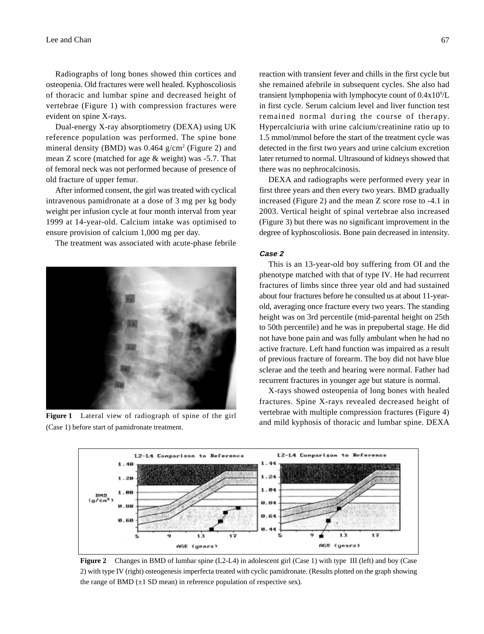Radiographs of long bones showed thin cortices and osteopenia. Old fractures were well healed. Kyphoscoliosis of thoracic and lumbar spine and decreased height of vertebrae (Figure 1) with compression fractures were evident on spine X-rays.

Dual-energy X-ray absorptiometry (DEXA) using UK reference population was performed. The spine bone mineral density (BMD) was 0.464 g/cm<sup>2</sup> (Figure 2) and mean Z score (matched for age & weight) was -5.7. That of femoral neck was not performed because of presence of old fracture of upper femur.

After informed consent, the girl was treated with cyclical intravenous pamidronate at a dose of 3 mg per kg body weight per infusion cycle at four month interval from year 1999 at 14-year-old. Calcium intake was optimised to ensure provision of calcium 1,000 mg per day.

The treatment was associated with acute-phase febrile



(Case 1) before start of pamidronate treatment.

reaction with transient fever and chills in the first cycle but she remained afebrile in subsequent cycles. She also had transient lymphopenia with lymphocyte count of 0.4x10<sup>9</sup>/L in first cycle. Serum calcium level and liver function test remained normal during the course of therapy. Hypercalciuria with urine calcium/creatinine ratio up to 1.5 mmol/mmol before the start of the treatment cycle was detected in the first two years and urine calcium excretion later returned to normal. Ultrasound of kidneys showed that there was no nephrocalcinosis.

DEXA and radiographs were performed every year in first three years and then every two years. BMD gradually increased (Figure 2) and the mean Z score rose to -4.1 in 2003. Vertical height of spinal vertebrae also increased (Figure 3) but there was no significant improvement in the degree of kyphoscoliosis. Bone pain decreased in intensity.

#### **Case 2**

This is an 13-year-old boy suffering from OI and the phenotype matched with that of type IV. He had recurrent fractures of limbs since three year old and had sustained about four fractures before he consulted us at about 11-yearold, averaging once fracture every two years. The standing height was on 3rd percentile (mid-parental height on 25th to 50th percentile) and he was in prepubertal stage. He did not have bone pain and was fully ambulant when he had no active fracture. Left hand function was impaired as a result of previous fracture of forearm. The boy did not have blue sclerae and the teeth and hearing were normal. Father had recurrent fractures in younger age but stature is normal.

X-rays showed osteopenia of long bones with healed fractures. Spine X-rays revealed decreased height of vertebrae with multiple compression fractures (Figure 4) Figure 1 Lateral view of radiograph of spine of the girl vertebrae with initially compression fractures (rigure 4)<br>and mild kyphosis of thoracic and lumbar spine. DEXA



**Figure 2** Changes in BMD of lumbar spine (L2-L4) in adolescent girl (Case 1) with type III (left) and boy (Case 2) with type IV (right) osteogenesis imperfecta treated with cyclic pamidronate. (Results plotted on the graph showing the range of BMD  $(\pm 1$  SD mean) in reference population of respective sex).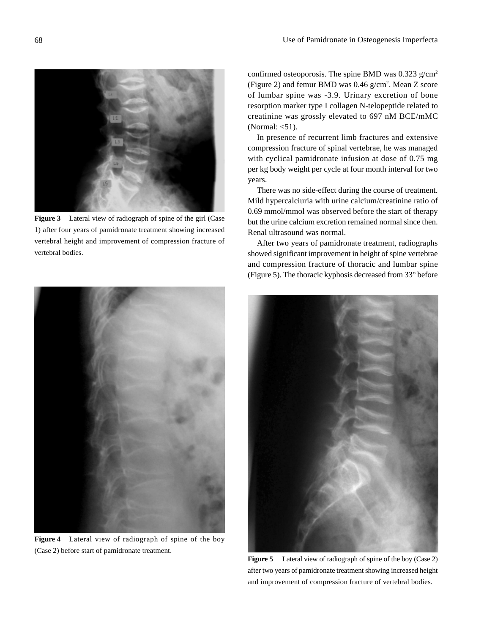

**Figure 3** Lateral view of radiograph of spine of the girl (Case 1) after four years of pamidronate treatment showing increased vertebral height and improvement of compression fracture of vertebral bodies.



**Figure 4** Lateral view of radiograph of spine of the boy (Case 2) before start of pamidronate treatment.

confirmed osteoporosis. The spine BMD was  $0.323$  g/cm<sup>2</sup> (Figure 2) and femur BMD was 0.46 g/cm<sup>2</sup>. Mean Z score of lumbar spine was -3.9. Urinary excretion of bone resorption marker type I collagen N-telopeptide related to creatinine was grossly elevated to 697 nM BCE/mMC (Normal:  $<$ 51).

In presence of recurrent limb fractures and extensive compression fracture of spinal vertebrae, he was managed with cyclical pamidronate infusion at dose of 0.75 mg per kg body weight per cycle at four month interval for two years.

There was no side-effect during the course of treatment. Mild hypercalciuria with urine calcium/creatinine ratio of 0.69 mmol/mmol was observed before the start of therapy but the urine calcium excretion remained normal since then. Renal ultrasound was normal.

After two years of pamidronate treatment, radiographs showed significant improvement in height of spine vertebrae and compression fracture of thoracic and lumbar spine (Figure 5). The thoracic kyphosis decreased from 33° before



**Figure 5** Lateral view of radiograph of spine of the boy (Case 2) after two years of pamidronate treatment showing increased height and improvement of compression fracture of vertebral bodies.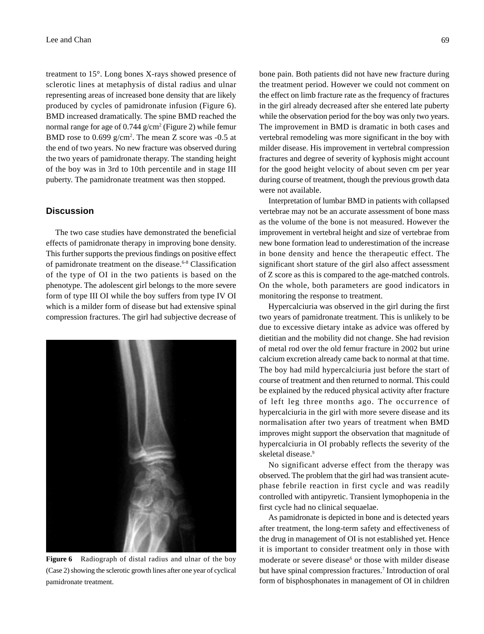treatment to 15°. Long bones X-rays showed presence of sclerotic lines at metaphysis of distal radius and ulnar representing areas of increased bone density that are likely produced by cycles of pamidronate infusion (Figure 6). BMD increased dramatically. The spine BMD reached the normal range for age of  $0.744$  g/cm<sup>2</sup> (Figure 2) while femur BMD rose to  $0.699 \text{ g/cm}^2$ . The mean Z score was  $-0.5$  at the end of two years. No new fracture was observed during the two years of pamidronate therapy. The standing height of the boy was in 3rd to 10th percentile and in stage III puberty. The pamidronate treatment was then stopped.

## **Discussion**

The two case studies have demonstrated the beneficial effects of pamidronate therapy in improving bone density. This further supports the previous findings on positive effect of pamidronate treatment on the disease.6-8 Classification of the type of OI in the two patients is based on the phenotype. The adolescent girl belongs to the more severe form of type III OI while the boy suffers from type IV OI which is a milder form of disease but had extensive spinal compression fractures. The girl had subjective decrease of



**Figure 6** Radiograph of distal radius and ulnar of the boy (Case 2) showing the sclerotic growth lines after one year of cyclical pamidronate treatment.

bone pain. Both patients did not have new fracture during the treatment period. However we could not comment on the effect on limb fracture rate as the frequency of fractures in the girl already decreased after she entered late puberty while the observation period for the boy was only two years. The improvement in BMD is dramatic in both cases and vertebral remodeling was more significant in the boy with milder disease. His improvement in vertebral compression fractures and degree of severity of kyphosis might account for the good height velocity of about seven cm per year during course of treatment, though the previous growth data were not available.

Interpretation of lumbar BMD in patients with collapsed vertebrae may not be an accurate assessment of bone mass as the volume of the bone is not measured. However the improvement in vertebral height and size of vertebrae from new bone formation lead to underestimation of the increase in bone density and hence the therapeutic effect. The significant short stature of the girl also affect assessment of Z score as this is compared to the age-matched controls. On the whole, both parameters are good indicators in monitoring the response to treatment.

Hypercalciuria was observed in the girl during the first two years of pamidronate treatment. This is unlikely to be due to excessive dietary intake as advice was offered by dietitian and the mobility did not change. She had revision of metal rod over the old femur fracture in 2002 but urine calcium excretion already came back to normal at that time. The boy had mild hypercalciuria just before the start of course of treatment and then returned to normal. This could be explained by the reduced physical activity after fracture of left leg three months ago. The occurrence of hypercalciuria in the girl with more severe disease and its normalisation after two years of treatment when BMD improves might support the observation that magnitude of hypercalciuria in OI probably reflects the severity of the skeletal disease.<sup>9</sup>

No significant adverse effect from the therapy was observed. The problem that the girl had was transient acutephase febrile reaction in first cycle and was readily controlled with antipyretic. Transient lymophopenia in the first cycle had no clinical sequaelae.

As pamidronate is depicted in bone and is detected years after treatment, the long-term safety and effectiveness of the drug in management of OI is not established yet. Hence it is important to consider treatment only in those with moderate or severe disease<sup>6</sup> or those with milder disease but have spinal compression fractures.<sup>7</sup> Introduction of oral form of bisphosphonates in management of OI in children